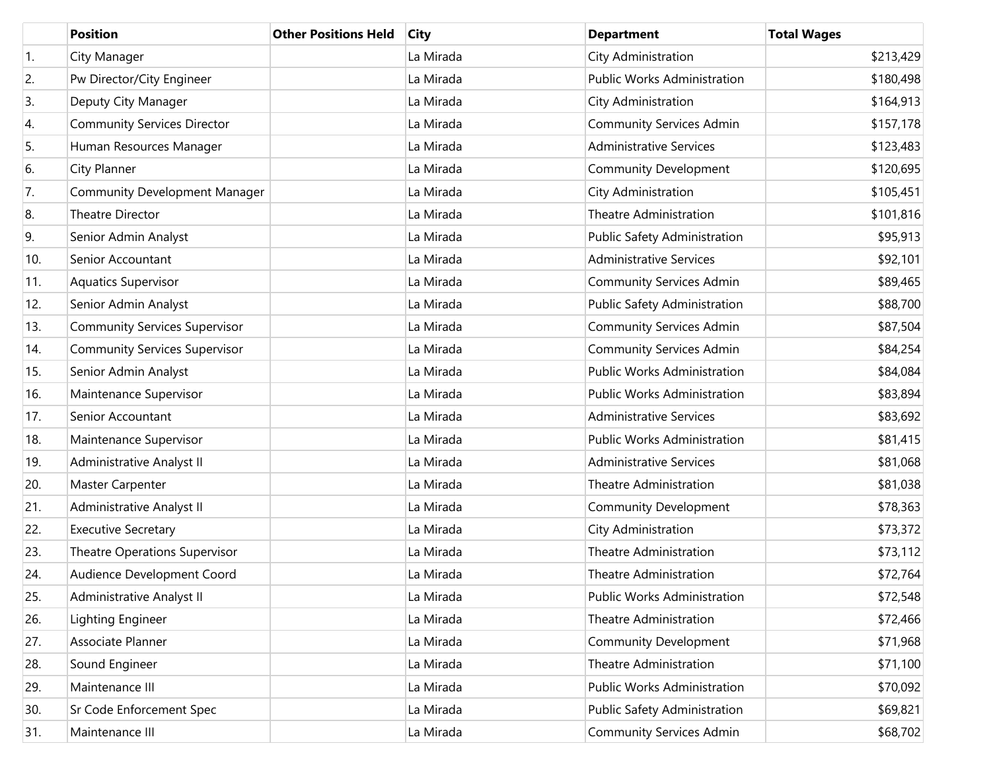|                  | <b>Position</b>                      | <b>Other Positions Held</b> | <b>City</b> | <b>Department</b>                  | <b>Total Wages</b> |
|------------------|--------------------------------------|-----------------------------|-------------|------------------------------------|--------------------|
| $\overline{1}$ . | City Manager                         |                             | La Mirada   | City Administration                | \$213,429          |
| 2.               | Pw Director/City Engineer            |                             | La Mirada   | <b>Public Works Administration</b> | \$180,498          |
| 3.               | Deputy City Manager                  |                             | La Mirada   | City Administration                | \$164,913          |
| 4.               | <b>Community Services Director</b>   |                             | La Mirada   | <b>Community Services Admin</b>    | \$157,178          |
| 5.               | Human Resources Manager              |                             | La Mirada   | <b>Administrative Services</b>     | \$123,483          |
| 6.               | City Planner                         |                             | La Mirada   | Community Development              | \$120,695          |
| 7.               | <b>Community Development Manager</b> |                             | La Mirada   | City Administration                | \$105,451          |
| 8.               | Theatre Director                     |                             | La Mirada   | <b>Theatre Administration</b>      | \$101,816          |
| 9.               | Senior Admin Analyst                 |                             | La Mirada   | Public Safety Administration       | \$95,913           |
| 10.              | Senior Accountant                    |                             | La Mirada   | <b>Administrative Services</b>     | \$92,101           |
| 11.              | <b>Aquatics Supervisor</b>           |                             | La Mirada   | <b>Community Services Admin</b>    | \$89,465           |
| 12.              | Senior Admin Analyst                 |                             | La Mirada   | Public Safety Administration       | \$88,700           |
| 13.              | <b>Community Services Supervisor</b> |                             | La Mirada   | <b>Community Services Admin</b>    | \$87,504           |
| 14.              | <b>Community Services Supervisor</b> |                             | La Mirada   | <b>Community Services Admin</b>    | \$84,254           |
| 15.              | Senior Admin Analyst                 |                             | La Mirada   | <b>Public Works Administration</b> | \$84,084           |
| 16.              | Maintenance Supervisor               |                             | La Mirada   | <b>Public Works Administration</b> | \$83,894           |
| 17.              | Senior Accountant                    |                             | La Mirada   | <b>Administrative Services</b>     | \$83,692           |
| 18.              | Maintenance Supervisor               |                             | La Mirada   | <b>Public Works Administration</b> | \$81,415           |
| 19.              | Administrative Analyst II            |                             | La Mirada   | <b>Administrative Services</b>     | \$81,068           |
| 20.              | Master Carpenter                     |                             | La Mirada   | <b>Theatre Administration</b>      | \$81,038           |
| 21.              | Administrative Analyst II            |                             | La Mirada   | Community Development              | \$78,363           |
| 22.              | <b>Executive Secretary</b>           |                             | La Mirada   | City Administration                | \$73,372           |
| 23.              | Theatre Operations Supervisor        |                             | La Mirada   | <b>Theatre Administration</b>      | \$73,112           |
| 24.              | Audience Development Coord           |                             | La Mirada   | Theatre Administration             | \$72,764           |
| 25.              | Administrative Analyst II            |                             | La Mirada   | Public Works Administration        | \$72,548           |
| 26.              | Lighting Engineer                    |                             | La Mirada   | <b>Theatre Administration</b>      | \$72,466           |
| 27.              | Associate Planner                    |                             | La Mirada   | Community Development              | \$71,968           |
| 28.              | Sound Engineer                       |                             | La Mirada   | <b>Theatre Administration</b>      | \$71,100           |
| 29.              | Maintenance III                      |                             | La Mirada   | Public Works Administration        | \$70,092           |
| 30.              | Sr Code Enforcement Spec             |                             | La Mirada   | Public Safety Administration       | \$69,821           |
| 31.              | Maintenance III                      |                             | La Mirada   | <b>Community Services Admin</b>    | \$68,702           |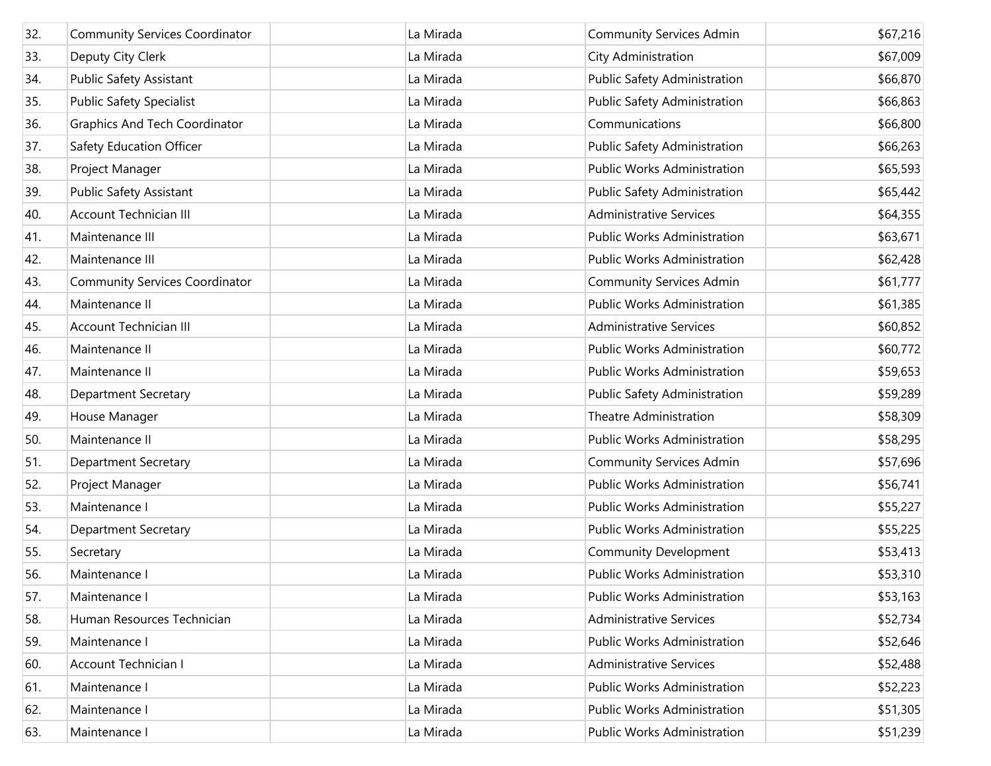| 32. | <b>Community Services Coordinator</b> | La Mirada | <b>Community Services Admin</b>    | \$67,216 |
|-----|---------------------------------------|-----------|------------------------------------|----------|
| 33. | Deputy City Clerk                     | La Mirada | City Administration                | \$67,009 |
| 34. | Public Safety Assistant               | La Mirada | Public Safety Administration       | \$66,870 |
| 35. | <b>Public Safety Specialist</b>       | La Mirada | Public Safety Administration       | \$66,863 |
| 36. | <b>Graphics And Tech Coordinator</b>  | La Mirada | Communications                     | \$66,800 |
| 37. | Safety Education Officer              | La Mirada | Public Safety Administration       | \$66,263 |
| 38. | Project Manager                       | La Mirada | <b>Public Works Administration</b> | \$65,593 |
| 39. | Public Safety Assistant               | La Mirada | Public Safety Administration       | \$65,442 |
| 40. | <b>Account Technician III</b>         | La Mirada | <b>Administrative Services</b>     | \$64,355 |
| 41. | Maintenance III                       | La Mirada | Public Works Administration        | \$63,671 |
| 42. | Maintenance III                       | La Mirada | Public Works Administration        | \$62,428 |
| 43. | <b>Community Services Coordinator</b> | La Mirada | <b>Community Services Admin</b>    | \$61,777 |
| 44. | Maintenance II                        | La Mirada | <b>Public Works Administration</b> | \$61,385 |
| 45. | Account Technician III                | La Mirada | <b>Administrative Services</b>     | \$60,852 |
| 46. | Maintenance II                        | La Mirada | <b>Public Works Administration</b> | \$60,772 |
| 47. | Maintenance II                        | La Mirada | Public Works Administration        | \$59,653 |
| 48. | <b>Department Secretary</b>           | La Mirada | Public Safety Administration       | \$59,289 |
| 49. | House Manager                         | La Mirada | <b>Theatre Administration</b>      | \$58,309 |
| 50. | Maintenance II                        | La Mirada | Public Works Administration        | \$58,295 |
| 51. | <b>Department Secretary</b>           | La Mirada | <b>Community Services Admin</b>    | \$57,696 |
| 52. | Project Manager                       | La Mirada | <b>Public Works Administration</b> | \$56,741 |
| 53. | Maintenance I                         | La Mirada | Public Works Administration        | \$55,227 |
| 54. | <b>Department Secretary</b>           | La Mirada | Public Works Administration        | \$55,225 |
| 55. | Secretary                             | La Mirada | <b>Community Development</b>       | \$53,413 |
| 56. | Maintenance I                         | La Mirada | <b>Public Works Administration</b> | \$53,310 |
| 57. | Maintenance I                         | La Mirada | <b>Public Works Administration</b> | \$53,163 |
| 58. | Human Resources Technician            | La Mirada | <b>Administrative Services</b>     | \$52,734 |
| 59. | Maintenance I                         | La Mirada | <b>Public Works Administration</b> | \$52,646 |
| 60. | Account Technician I                  | La Mirada | <b>Administrative Services</b>     | \$52,488 |
| 61. | Maintenance I                         | La Mirada | <b>Public Works Administration</b> | \$52,223 |
| 62. | Maintenance I                         | La Mirada | <b>Public Works Administration</b> | \$51,305 |
| 63. | Maintenance I                         | La Mirada | Public Works Administration        | \$51,239 |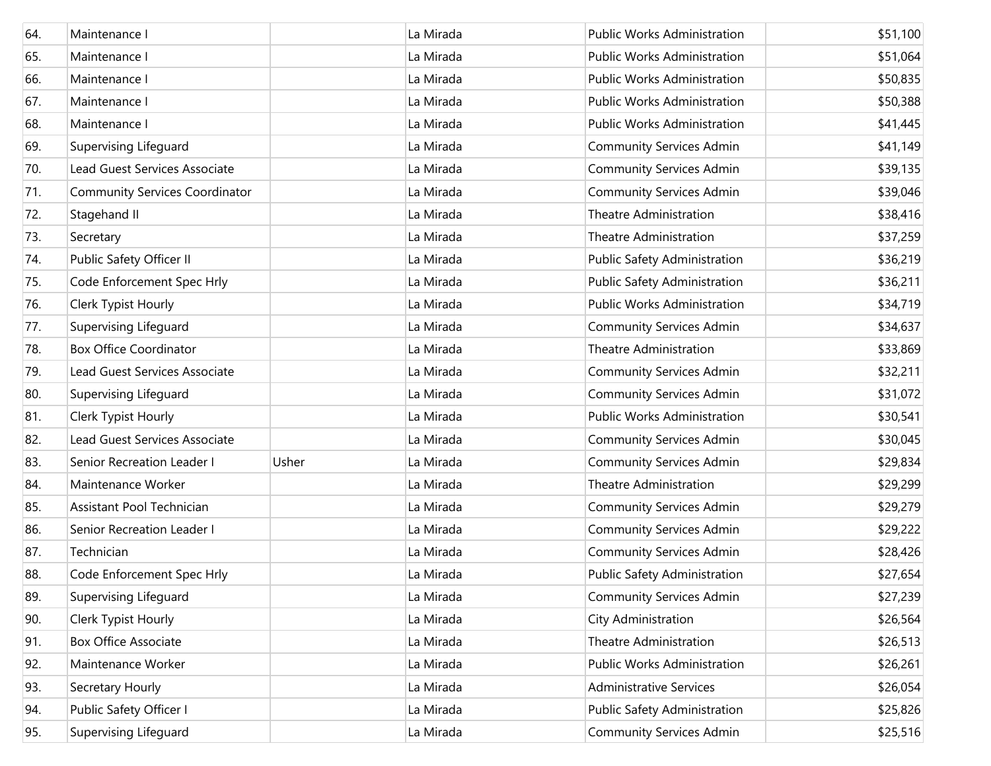| 64. | Maintenance I                         |       | La Mirada | <b>Public Works Administration</b> | \$51,100 |
|-----|---------------------------------------|-------|-----------|------------------------------------|----------|
| 65. | Maintenance I                         |       | La Mirada | <b>Public Works Administration</b> | \$51,064 |
| 66. | Maintenance I                         |       | La Mirada | Public Works Administration        | \$50,835 |
| 67. | Maintenance I                         |       | La Mirada | Public Works Administration        | \$50,388 |
| 68. | Maintenance I                         |       | La Mirada | Public Works Administration        | \$41,445 |
| 69. | Supervising Lifeguard                 |       | La Mirada | <b>Community Services Admin</b>    | \$41,149 |
| 70. | Lead Guest Services Associate         |       | La Mirada | <b>Community Services Admin</b>    | \$39,135 |
| 71. | <b>Community Services Coordinator</b> |       | La Mirada | <b>Community Services Admin</b>    | \$39,046 |
| 72. | Stagehand II                          |       | La Mirada | <b>Theatre Administration</b>      | \$38,416 |
| 73. | Secretary                             |       | La Mirada | Theatre Administration             | \$37,259 |
| 74. | Public Safety Officer II              |       | La Mirada | Public Safety Administration       | \$36,219 |
| 75. | Code Enforcement Spec Hrly            |       | La Mirada | Public Safety Administration       | \$36,211 |
| 76. | Clerk Typist Hourly                   |       | La Mirada | <b>Public Works Administration</b> | \$34,719 |
| 77. | Supervising Lifeguard                 |       | La Mirada | <b>Community Services Admin</b>    | \$34,637 |
| 78. | <b>Box Office Coordinator</b>         |       | La Mirada | <b>Theatre Administration</b>      | \$33,869 |
| 79. | Lead Guest Services Associate         |       | La Mirada | <b>Community Services Admin</b>    | \$32,211 |
| 80. | Supervising Lifeguard                 |       | La Mirada | <b>Community Services Admin</b>    | \$31,072 |
| 81. | Clerk Typist Hourly                   |       | La Mirada | Public Works Administration        | \$30,541 |
| 82. | Lead Guest Services Associate         |       | La Mirada | <b>Community Services Admin</b>    | \$30,045 |
| 83. | Senior Recreation Leader I            | Usher | La Mirada | <b>Community Services Admin</b>    | \$29,834 |
| 84. | Maintenance Worker                    |       | La Mirada | <b>Theatre Administration</b>      | \$29,299 |
| 85. | Assistant Pool Technician             |       | La Mirada | <b>Community Services Admin</b>    | \$29,279 |
| 86. | Senior Recreation Leader I            |       | La Mirada | <b>Community Services Admin</b>    | \$29,222 |
| 87. | Technician                            |       | La Mirada | <b>Community Services Admin</b>    | \$28,426 |
| 88. | Code Enforcement Spec Hrly            |       | La Mirada | Public Safety Administration       | \$27,654 |
| 89. | Supervising Lifeguard                 |       | La Mirada | <b>Community Services Admin</b>    | \$27,239 |
| 90. | Clerk Typist Hourly                   |       | La Mirada | City Administration                | \$26,564 |
| 91. | <b>Box Office Associate</b>           |       | La Mirada | Theatre Administration             | \$26,513 |
| 92. | Maintenance Worker                    |       | La Mirada | <b>Public Works Administration</b> | \$26,261 |
| 93. | Secretary Hourly                      |       | La Mirada | <b>Administrative Services</b>     | \$26,054 |
| 94. | Public Safety Officer I               |       | La Mirada | Public Safety Administration       | \$25,826 |
| 95. | Supervising Lifeguard                 |       | La Mirada | <b>Community Services Admin</b>    | \$25,516 |